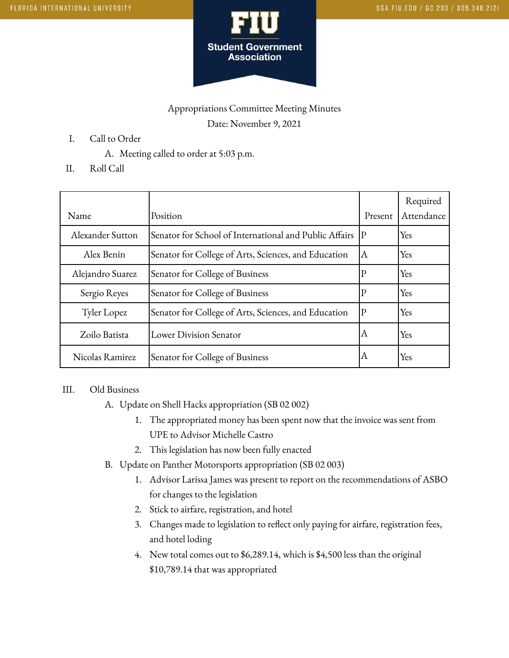

# Appropriations Committee Meeting Minutes Date: November 9, 2021

- I. Call to Order
	- A. Meeting called to order at 5:03 p.m.
- II. Roll Call

| Name             | Position                                               | Present      | Required<br>Attendance |
|------------------|--------------------------------------------------------|--------------|------------------------|
| Alexander Sutton | Senator for School of International and Public Affairs | P            | Yes                    |
| Alex Benin       | Senator for College of Arts, Sciences, and Education   | ΙA           | Yes                    |
| Alejandro Suarez | Senator for College of Business                        | $\mathbf P$  | Yes                    |
| Sergio Reyes     | Senator for College of Business                        | $\mathbf{P}$ | Yes                    |
| Tyler Lopez      | Senator for College of Arts, Sciences, and Education   | $ {\rm P} $  | Yes                    |
| Zoilo Batista    | Lower Division Senator                                 | ΙA           | Yes                    |
| Nicolas Ramirez  | Senator for College of Business                        | ΙA           | Yes                    |

#### III. Old Business

- A. Update on Shell Hacks appropriation (SB 02 002)
	- 1. The appropriated money has been spent now that the invoice was sent from UPE to Advisor Michelle Castro
	- 2. This legislation has now been fully enacted
- B. Update on Panther Motorsports appropriation (SB 02 003)
	- 1. Advisor Larissa James was present to report on the recommendations of ASBO for changes to the legislation
	- 2. Stick to airfare, registration, and hotel
	- 3. Changes made to legislation to reflect only paying for airfare, registration fees, and hotel loding
	- 4. New total comes out to \$6,289.14, which is \$4,500 less than the original \$10,789.14 that was appropriated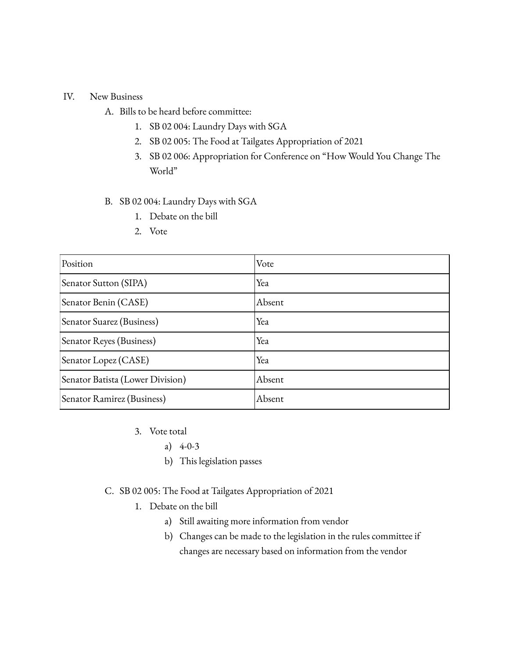### IV. New Business

- A. Bills to be heard before committee:
	- 1. SB 02 004: Laundry Days with SGA
	- 2. SB 02 005: The Food at Tailgates Appropriation of 2021
	- 3. SB 02 006: Appropriation for Conference on "How Would You Change The World"

#### B. SB 02 004: Laundry Days with SGA

- 1. Debate on the bill
- 2. Vote

| Position                         | Vote   |
|----------------------------------|--------|
| Senator Sutton (SIPA)            | Yea    |
| Senator Benin (CASE)             | Absent |
| Senator Suarez (Business)        | Yea    |
| Senator Reyes (Business)         | Yea    |
| Senator Lopez (CASE)             | Yea    |
| Senator Batista (Lower Division) | Absent |
| Senator Ramirez (Business)       | Absent |

- 3. Vote total
	- a) 4-0-3
	- b) This legislation passes
- C. SB 02 005: The Food at Tailgates Appropriation of 2021
	- 1. Debate on the bill
		- a) Still awaiting more information from vendor
		- b) Changes can be made to the legislation in the rules committee if changes are necessary based on information from the vendor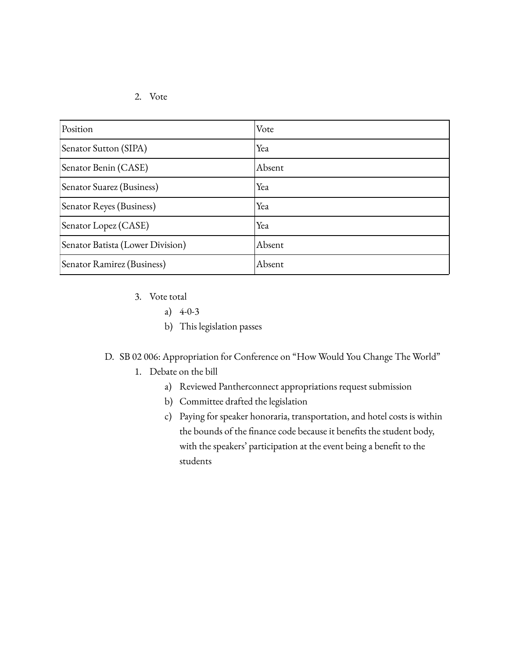#### 2. Vote

| Position                         | Vote   |
|----------------------------------|--------|
| Senator Sutton (SIPA)            | Yea    |
| Senator Benin (CASE)             | Absent |
| Senator Suarez (Business)        | Yea    |
| Senator Reyes (Business)         | Yea    |
| Senator Lopez (CASE)             | Yea    |
| Senator Batista (Lower Division) | Absent |
| Senator Ramirez (Business)       | Absent |

- 3. Vote total
	- a)  $4-0-3$
	- b) This legislation passes

## D. SB 02 006: Appropriation for Conference on "How Would You Change The World"

- 1. Debate on the bill
	- a) Reviewed Pantherconnect appropriations request submission
	- b) Committee drafted the legislation
	- c) Paying for speaker honoraria, transportation, and hotel costs is within the bounds of the finance code because it benefits the student body, with the speakers' participation at the event being a benefit to the students